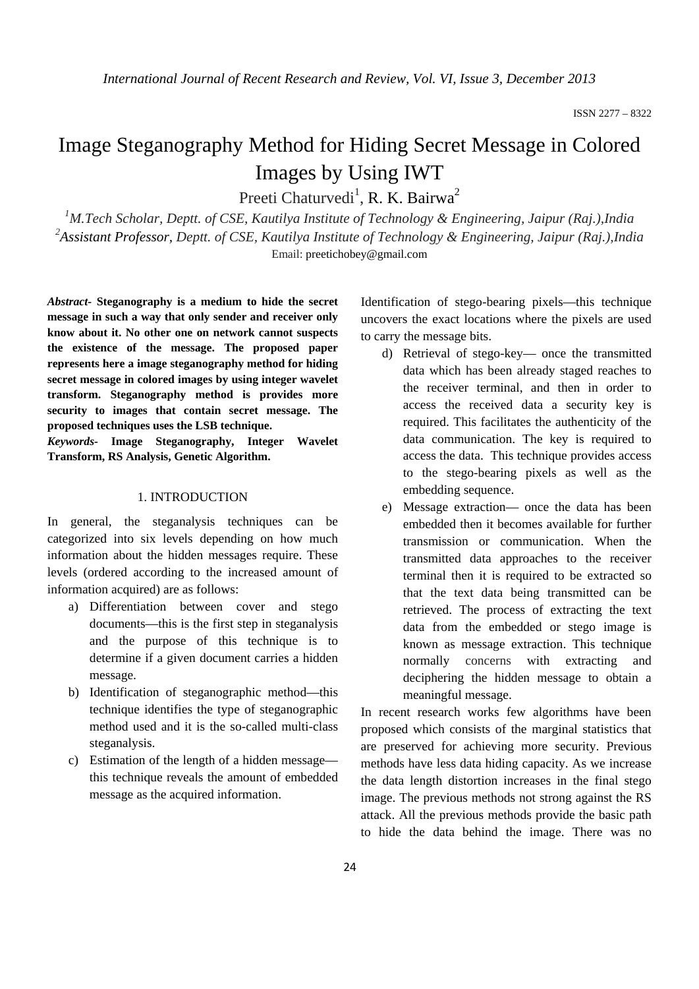# Image Steganography Method for Hiding Secret Message in Colored Images by Using IWT

Preeti Chaturvedi<sup>1</sup>, R. K. Bairwa<sup>2</sup>

<sup>1</sup>M.Tech Scholar, Deptt. of CSE, Kautilya Institute of Technology & Engineering, Jaipur (Raj.),India *2 Assistant Professor, Deptt. of CSE, Kautilya Institute of Technology & Engineering, Jaipur (Raj.),India*  Email: preetichobey@gmail.com

*Abstract-* **Steganography is a medium to hide the secret message in such a way that only sender and receiver only know about it. No other one on network cannot suspects the existence of the message. The proposed paper represents here a image steganography method for hiding secret message in colored images by using integer wavelet transform. Steganography method is provides more security to images that contain secret message. The proposed techniques uses the LSB technique.** 

*Keywords-* **Image Steganography, Integer Wavelet Transform, RS Analysis, Genetic Algorithm.** 

## 1. INTRODUCTION

In general, the steganalysis techniques can be categorized into six levels depending on how much information about the hidden messages require. These levels (ordered according to the increased amount of information acquired) are as follows:

- a) Differentiation between cover and stego documents—this is the first step in steganalysis and the purpose of this technique is to determine if a given document carries a hidden message.
- b) Identification of steganographic method—this technique identifies the type of steganographic method used and it is the so-called multi-class steganalysis.
- c) Estimation of the length of a hidden message this technique reveals the amount of embedded message as the acquired information.

Identification of stego-bearing pixels—this technique uncovers the exact locations where the pixels are used to carry the message bits.

- d) Retrieval of stego-key— once the transmitted data which has been already staged reaches to the receiver terminal, and then in order to access the received data a security key is required. This facilitates the authenticity of the data communication. The key is required to access the data. This technique provides access to the stego-bearing pixels as well as the embedding sequence.
- e) Message extraction— once the data has been embedded then it becomes available for further transmission or communication. When the transmitted data approaches to the receiver terminal then it is required to be extracted so that the text data being transmitted can be retrieved. The process of extracting the text data from the embedded or stego image is known as message extraction. This technique normally concerns with extracting and deciphering the hidden message to obtain a meaningful message.

In recent research works few algorithms have been proposed which consists of the marginal statistics that are preserved for achieving more security. Previous methods have less data hiding capacity. As we increase the data length distortion increases in the final stego image. The previous methods not strong against the RS attack. All the previous methods provide the basic path to hide the data behind the image. There was no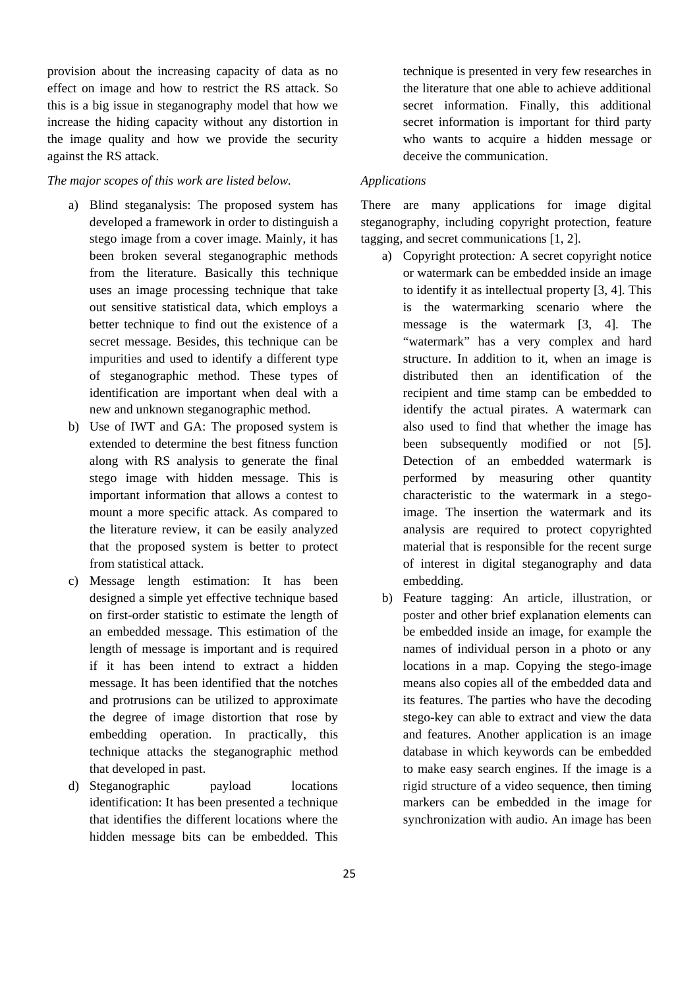provision about the increasing capacity of data as no effect on image and how to restrict the RS attack. So this is a big issue in steganography model that how we increase the hiding capacity without any distortion in the image quality and how we provide the security against the RS attack.

## *The major scopes of this work are listed below.*

- a) Blind steganalysis: The proposed system has developed a framework in order to distinguish a stego image from a cover image. Mainly, it has been broken several steganographic methods from the literature. Basically this technique uses an image processing technique that take out sensitive statistical data, which employs a better technique to find out the existence of a secret message. Besides, this technique can be impurities and used to identify a different type of steganographic method. These types of identification are important when deal with a new and unknown steganographic method.
- b) Use of IWT and GA: The proposed system is extended to determine the best fitness function along with RS analysis to generate the final stego image with hidden message. This is important information that allows a contest to mount a more specific attack. As compared to the literature review, it can be easily analyzed that the proposed system is better to protect from statistical attack.
- c) Message length estimation: It has been designed a simple yet effective technique based on first-order statistic to estimate the length of an embedded message. This estimation of the length of message is important and is required if it has been intend to extract a hidden message. It has been identified that the notches and protrusions can be utilized to approximate the degree of image distortion that rose by embedding operation. In practically, this technique attacks the steganographic method that developed in past.
- d) Steganographic payload locations identification: It has been presented a technique that identifies the different locations where the hidden message bits can be embedded. This

technique is presented in very few researches in the literature that one able to achieve additional secret information. Finally, this additional secret information is important for third party who wants to acquire a hidden message or deceive the communication.

#### *Applications*

There are many applications for image digital steganography, including copyright protection, feature tagging, and secret communications [1, 2].

- a) Copyright protection*:* A secret copyright notice or watermark can be embedded inside an image to identify it as intellectual property [3, 4]. This is the watermarking scenario where the message is the watermark [3, 4]. The "watermark" has a very complex and hard structure. In addition to it, when an image is distributed then an identification of the recipient and time stamp can be embedded to identify the actual pirates. A watermark can also used to find that whether the image has been subsequently modified or not [5]. Detection of an embedded watermark is performed by measuring other quantity characteristic to the watermark in a stegoimage. The insertion the watermark and its analysis are required to protect copyrighted material that is responsible for the recent surge of interest in digital steganography and data embedding.
- b) Feature tagging: An article, illustration, or poster and other brief explanation elements can be embedded inside an image, for example the names of individual person in a photo or any locations in a map. Copying the stego-image means also copies all of the embedded data and its features. The parties who have the decoding stego-key can able to extract and view the data and features. Another application is an image database in which keywords can be embedded to make easy search engines. If the image is a rigid structure of a video sequence, then timing markers can be embedded in the image for synchronization with audio. An image has been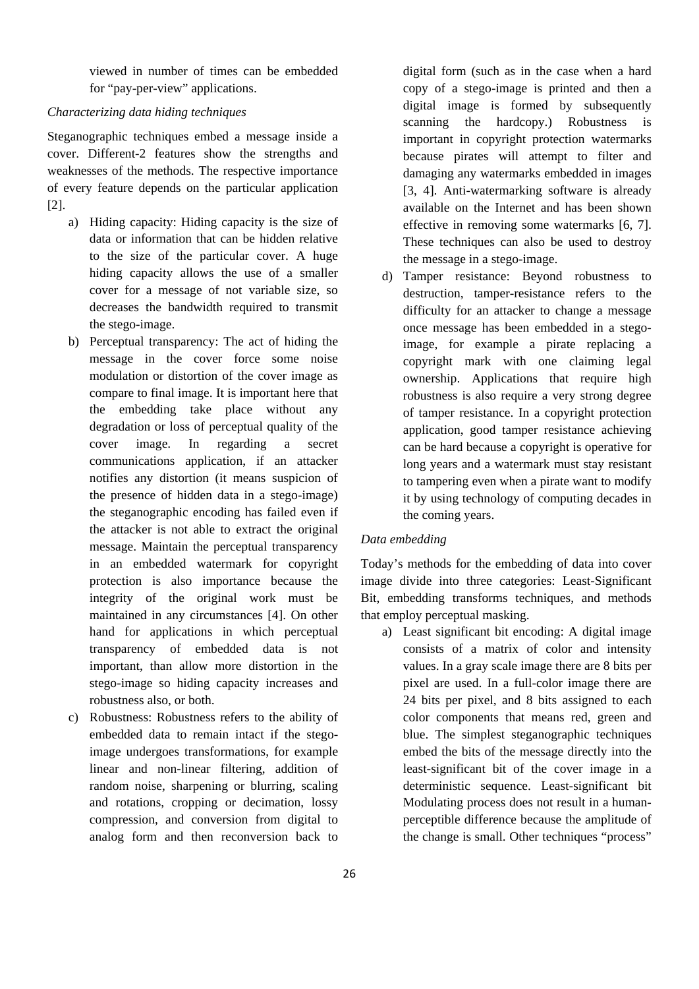viewed in number of times can be embedded for "pay-per-view" applications.

#### *Characterizing data hiding techniques*

Steganographic techniques embed a message inside a cover. Different-2 features show the strengths and weaknesses of the methods. The respective importance of every feature depends on the particular application [2].

- a) Hiding capacity: Hiding capacity is the size of data or information that can be hidden relative to the size of the particular cover. A huge hiding capacity allows the use of a smaller cover for a message of not variable size, so decreases the bandwidth required to transmit the stego-image.
- b) Perceptual transparency: The act of hiding the message in the cover force some noise modulation or distortion of the cover image as compare to final image. It is important here that the embedding take place without any degradation or loss of perceptual quality of the cover image. In regarding a secret communications application, if an attacker notifies any distortion (it means suspicion of the presence of hidden data in a stego-image) the steganographic encoding has failed even if the attacker is not able to extract the original message. Maintain the perceptual transparency in an embedded watermark for copyright protection is also importance because the integrity of the original work must be maintained in any circumstances [4]. On other hand for applications in which perceptual transparency of embedded data is not important, than allow more distortion in the stego-image so hiding capacity increases and robustness also, or both.
- c) Robustness: Robustness refers to the ability of embedded data to remain intact if the stegoimage undergoes transformations, for example linear and non-linear filtering, addition of random noise, sharpening or blurring, scaling and rotations, cropping or decimation, lossy compression, and conversion from digital to analog form and then reconversion back to

digital form (such as in the case when a hard copy of a stego-image is printed and then a digital image is formed by subsequently scanning the hardcopy.) Robustness is important in copyright protection watermarks because pirates will attempt to filter and damaging any watermarks embedded in images [3, 4]. Anti-watermarking software is already available on the Internet and has been shown effective in removing some watermarks [6, 7]. These techniques can also be used to destroy the message in a stego-image.

d) Tamper resistance: Beyond robustness to destruction, tamper-resistance refers to the difficulty for an attacker to change a message once message has been embedded in a stegoimage, for example a pirate replacing a copyright mark with one claiming legal ownership. Applications that require high robustness is also require a very strong degree of tamper resistance. In a copyright protection application, good tamper resistance achieving can be hard because a copyright is operative for long years and a watermark must stay resistant to tampering even when a pirate want to modify it by using technology of computing decades in the coming years.

# *Data embedding*

Today's methods for the embedding of data into cover image divide into three categories: Least-Significant Bit, embedding transforms techniques, and methods that employ perceptual masking.

a) Least significant bit encoding: A digital image consists of a matrix of color and intensity values. In a gray scale image there are 8 bits per pixel are used. In a full-color image there are 24 bits per pixel, and 8 bits assigned to each color components that means red, green and blue. The simplest steganographic techniques embed the bits of the message directly into the least-significant bit of the cover image in a deterministic sequence. Least-significant bit Modulating process does not result in a humanperceptible difference because the amplitude of the change is small. Other techniques "process"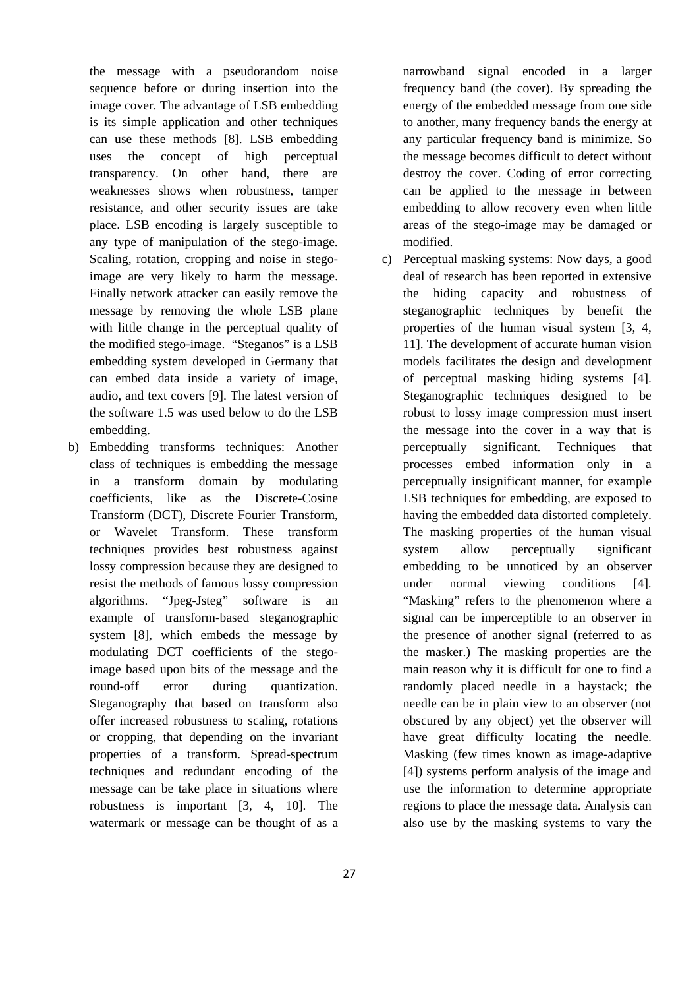the message with a pseudorandom noise sequence before or during insertion into the image cover. The advantage of LSB embedding is its simple application and other techniques can use these methods [8]. LSB embedding uses the concept of high perceptual transparency. On other hand, there are weaknesses shows when robustness, tamper resistance, and other security issues are take place. LSB encoding is largely susceptible to any type of manipulation of the stego-image. Scaling, rotation, cropping and noise in stegoimage are very likely to harm the message. Finally network attacker can easily remove the message by removing the whole LSB plane with little change in the perceptual quality of the modified stego-image. "Steganos" is a LSB embedding system developed in Germany that can embed data inside a variety of image, audio, and text covers [9]. The latest version of the software 1.5 was used below to do the LSB embedding.

b) Embedding transforms techniques: Another class of techniques is embedding the message in a transform domain by modulating coefficients, like as the Discrete-Cosine Transform (DCT), Discrete Fourier Transform, or Wavelet Transform. These transform techniques provides best robustness against lossy compression because they are designed to resist the methods of famous lossy compression algorithms. "Jpeg-Jsteg" software is an example of transform-based steganographic system [8], which embeds the message by modulating DCT coefficients of the stegoimage based upon bits of the message and the round-off error during quantization. Steganography that based on transform also offer increased robustness to scaling, rotations or cropping, that depending on the invariant properties of a transform. Spread-spectrum techniques and redundant encoding of the message can be take place in situations where robustness is important [3, 4, 10]. The watermark or message can be thought of as a narrowband signal encoded in a larger frequency band (the cover). By spreading the energy of the embedded message from one side to another, many frequency bands the energy at any particular frequency band is minimize. So the message becomes difficult to detect without destroy the cover. Coding of error correcting can be applied to the message in between embedding to allow recovery even when little areas of the stego-image may be damaged or modified.

c) Perceptual masking systems: Now days, a good deal of research has been reported in extensive the hiding capacity and robustness of steganographic techniques by benefit the properties of the human visual system [3, 4, 11]. The development of accurate human vision models facilitates the design and development of perceptual masking hiding systems [4]. Steganographic techniques designed to be robust to lossy image compression must insert the message into the cover in a way that is perceptually significant. Techniques that processes embed information only in a perceptually insignificant manner, for example LSB techniques for embedding, are exposed to having the embedded data distorted completely. The masking properties of the human visual system allow perceptually significant embedding to be unnoticed by an observer under normal viewing conditions [4]. "Masking" refers to the phenomenon where a signal can be imperceptible to an observer in the presence of another signal (referred to as the masker.) The masking properties are the main reason why it is difficult for one to find a randomly placed needle in a haystack; the needle can be in plain view to an observer (not obscured by any object) yet the observer will have great difficulty locating the needle. Masking (few times known as image-adaptive [4]) systems perform analysis of the image and use the information to determine appropriate regions to place the message data. Analysis can also use by the masking systems to vary the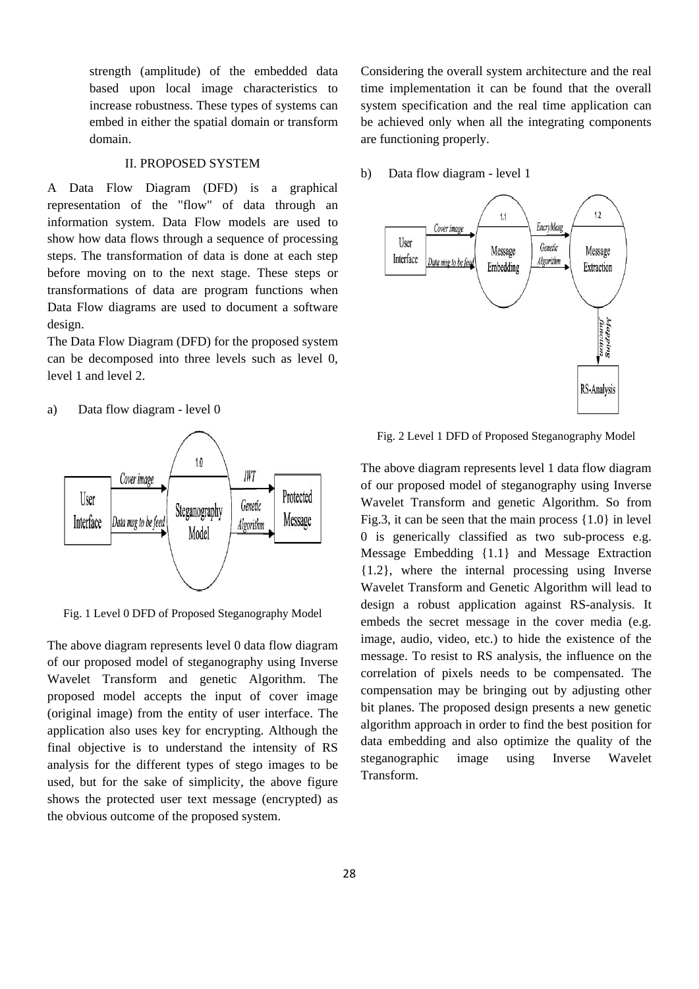strength (amplitude) of the embedded data based upon local image characteristics to increase robustness. These types of systems can embed in either the spatial domain or transform domain.

# II. PROPOSED SYSTEM

A Data Flow Diagram (DFD) is a graphical representation of the "flow" of data through an information system. Data Flow models are used to show how data flows through a sequence of processing steps. The transformation of data is done at each step before moving on to the next stage. These steps or transformations of data are program functions when Data Flow diagrams are used to document a software design.

The Data Flow Diagram (DFD) for the proposed system can be decomposed into three levels such as level 0, level 1 and level 2.

a) Data flow diagram - level 0



Fig. 1 Level 0 DFD of Proposed Steganography Model

The above diagram represents level 0 data flow diagram of our proposed model of steganography using Inverse Wavelet Transform and genetic Algorithm. The proposed model accepts the input of cover image (original image) from the entity of user interface. The application also uses key for encrypting. Although the final objective is to understand the intensity of RS analysis for the different types of stego images to be used, but for the sake of simplicity, the above figure shows the protected user text message (encrypted) as the obvious outcome of the proposed system.

Considering the overall system architecture and the real time implementation it can be found that the overall system specification and the real time application can be achieved only when all the integrating components are functioning properly.

b) Data flow diagram - level 1



Fig. 2 Level 1 DFD of Proposed Steganography Model

The above diagram represents level 1 data flow diagram of our proposed model of steganography using Inverse Wavelet Transform and genetic Algorithm. So from Fig.3, it can be seen that the main process {1.0} in level 0 is generically classified as two sub-process e.g. Message Embedding {1.1} and Message Extraction {1.2}, where the internal processing using Inverse Wavelet Transform and Genetic Algorithm will lead to design a robust application against RS-analysis. It embeds the secret message in the cover media (e.g. image, audio, video, etc.) to hide the existence of the message. To resist to RS analysis, the influence on the correlation of pixels needs to be compensated. The compensation may be bringing out by adjusting other bit planes. The proposed design presents a new genetic algorithm approach in order to find the best position for data embedding and also optimize the quality of the steganographic image using Inverse Wavelet Transform.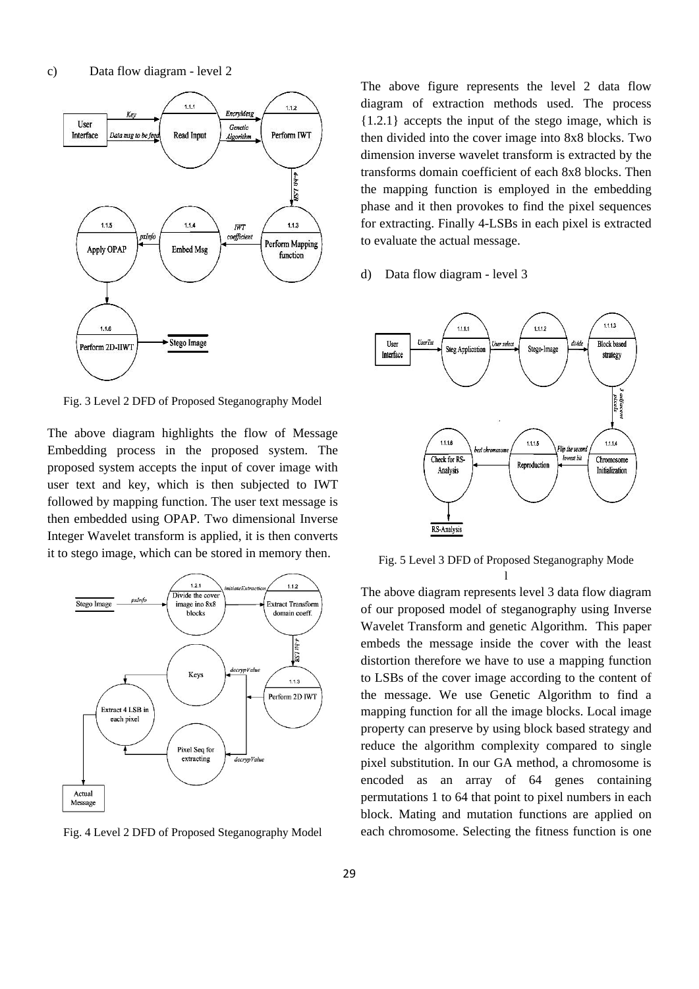

Fig. 3 Level 2 DFD of Proposed Steganography Model

The above diagram highlights the flow of Message Embedding process in the proposed system. The proposed system accepts the input of cover image with user text and key, which is then subjected to IWT followed by mapping function. The user text message is then embedded using OPAP. Two dimensional Inverse Integer Wavelet transform is applied, it is then converts it to stego image, which can be stored in memory then.



Fig. 4 Level 2 DFD of Proposed Steganography Model

The above figure represents the level 2 data flow diagram of extraction methods used. The process {1.2.1} accepts the input of the stego image, which is then divided into the cover image into 8x8 blocks. Two dimension inverse wavelet transform is extracted by the transforms domain coefficient of each 8x8 blocks. Then the mapping function is employed in the embedding phase and it then provokes to find the pixel sequences for extracting. Finally 4-LSBs in each pixel is extracted to evaluate the actual message.

d) Data flow diagram - level 3



Fig. 5 Level 3 DFD of Proposed Steganography Mode l

The above diagram represents level 3 data flow diagram of our proposed model of steganography using Inverse Wavelet Transform and genetic Algorithm. This paper embeds the message inside the cover with the least distortion therefore we have to use a mapping function to LSBs of the cover image according to the content of the message. We use Genetic Algorithm to find a mapping function for all the image blocks. Local image property can preserve by using block based strategy and reduce the algorithm complexity compared to single pixel substitution. In our GA method, a chromosome is encoded as an array of 64 genes containing permutations 1 to 64 that point to pixel numbers in each block. Mating and mutation functions are applied on each chromosome. Selecting the fitness function is one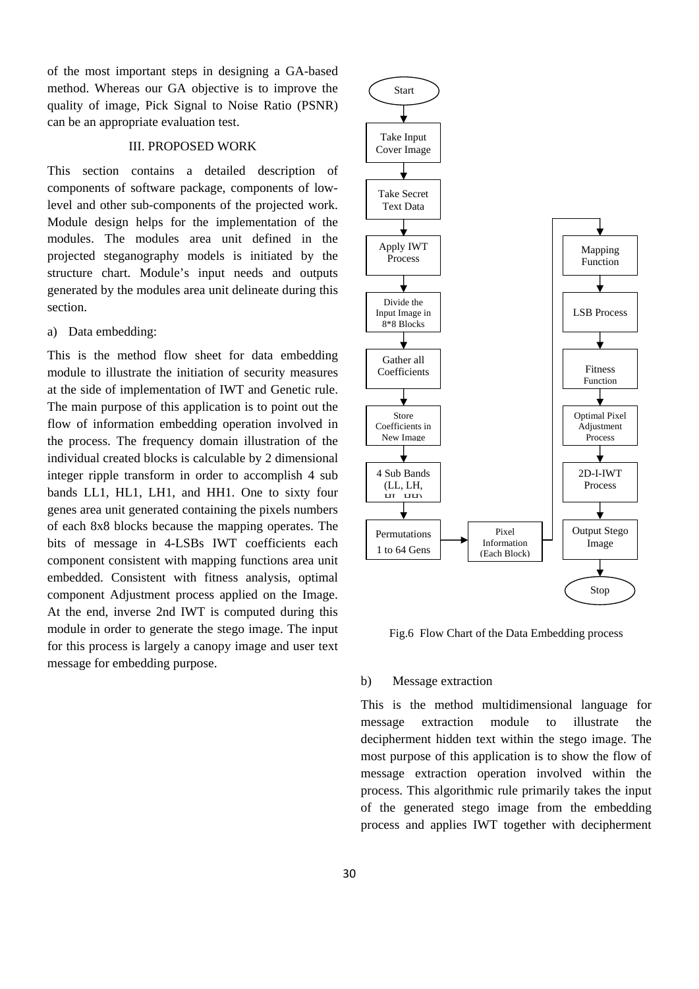of the most important steps in designing a GA-based method. Whereas our GA objective is to improve the quality of image, Pick Signal to Noise Ratio (PSNR) can be an appropriate evaluation test.

#### III. PROPOSED WORK

This section contains a detailed description of components of software package, components of lowlevel and other sub-components of the projected work. Module design helps for the implementation of the modules. The modules area unit defined in the projected steganography models is initiated by the structure chart. Module's input needs and outputs generated by the modules area unit delineate during this section.

a) Data embedding:

This is the method flow sheet for data embedding module to illustrate the initiation of security measures at the side of implementation of IWT and Genetic rule. The main purpose of this application is to point out the flow of information embedding operation involved in the process. The frequency domain illustration of the individual created blocks is calculable by 2 dimensional integer ripple transform in order to accomplish 4 sub bands LL1, HL1, LH1, and HH1. One to sixty four genes area unit generated containing the pixels numbers of each 8x8 blocks because the mapping operates. The bits of message in 4-LSBs IWT coefficients each component consistent with mapping functions area unit embedded. Consistent with fitness analysis, optimal component Adjustment process applied on the Image. At the end, inverse 2nd IWT is computed during this module in order to generate the stego image. The input for this process is largely a canopy image and user text message for embedding purpose.



Fig.6 Flow Chart of the Data Embedding process

#### b) Message extraction

This is the method multidimensional language for message extraction module to illustrate the decipherment hidden text within the stego image. The most purpose of this application is to show the flow of message extraction operation involved within the process. This algorithmic rule primarily takes the input of the generated stego image from the embedding process and applies IWT together with decipherment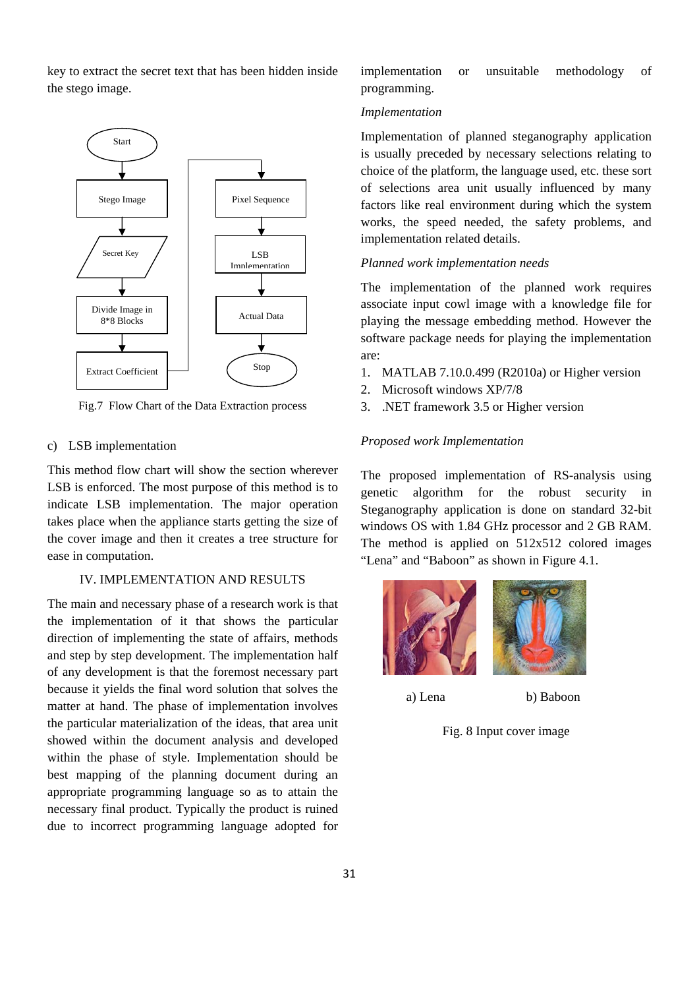key to extract the secret text that has been hidden inside the stego image.



Fig.7 Flow Chart of the Data Extraction process

#### c) LSB implementation

This method flow chart will show the section wherever LSB is enforced. The most purpose of this method is to indicate LSB implementation. The major operation takes place when the appliance starts getting the size of the cover image and then it creates a tree structure for ease in computation.

#### IV. IMPLEMENTATION AND RESULTS

The main and necessary phase of a research work is that the implementation of it that shows the particular direction of implementing the state of affairs, methods and step by step development. The implementation half of any development is that the foremost necessary part because it yields the final word solution that solves the matter at hand. The phase of implementation involves the particular materialization of the ideas, that area unit showed within the document analysis and developed within the phase of style. Implementation should be best mapping of the planning document during an appropriate programming language so as to attain the necessary final product. Typically the product is ruined due to incorrect programming language adopted for implementation or unsuitable methodology of programming.

#### *Implementation*

Implementation of planned steganography application is usually preceded by necessary selections relating to choice of the platform, the language used, etc. these sort of selections area unit usually influenced by many factors like real environment during which the system works, the speed needed, the safety problems, and implementation related details.

#### *Planned work implementation needs*

The implementation of the planned work requires associate input cowl image with a knowledge file for playing the message embedding method. However the software package needs for playing the implementation are:

- 1. MATLAB 7.10.0.499 (R2010a) or Higher version
- 2. Microsoft windows XP/7/8
- 3. .NET framework 3.5 or Higher version

#### *Proposed work Implementation*

The proposed implementation of RS-analysis using genetic algorithm for the robust security in Steganography application is done on standard 32-bit windows OS with 1.84 GHz processor and 2 GB RAM. The method is applied on 512x512 colored images "Lena" and "Baboon" as shown in Figure 4.1.



a) Lena b) Baboon

Fig. 8 Input cover image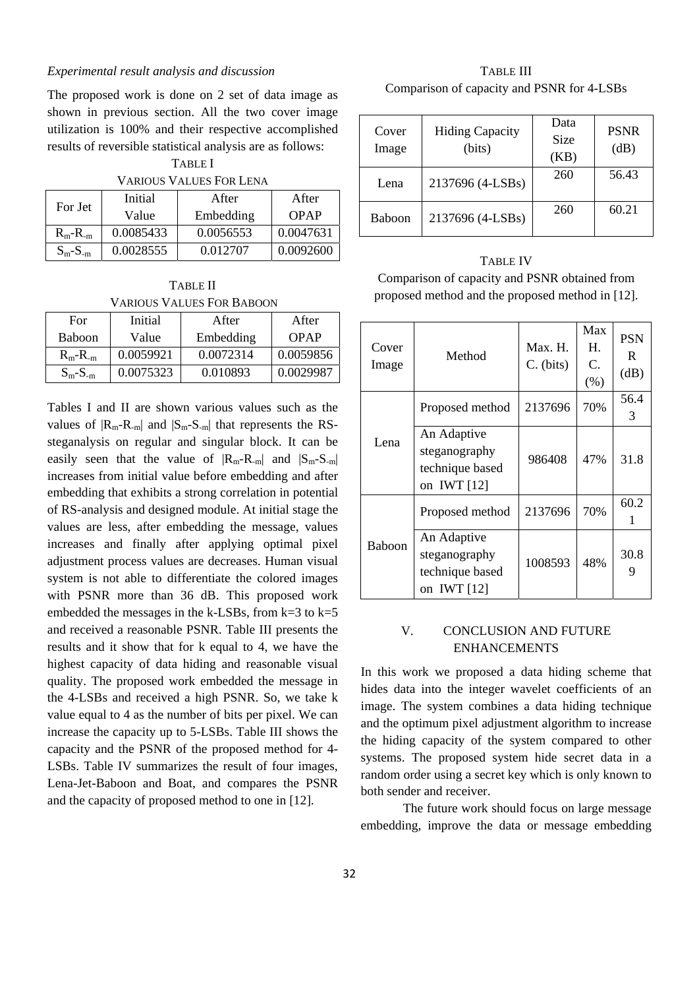#### *Experimental result analysis and discussion*

The proposed work is done on 2 set of data image as shown in previous section. All the two cover image utilization is 100% and their respective accomplished results of reversible statistical analysis are as follows:

#### TABLE I VARIOUS VALUES FOR LENA

| TANIYOS TALOLSI VIVLEIJA |           |           |           |  |  |  |
|--------------------------|-----------|-----------|-----------|--|--|--|
| For Jet                  | Initial   | After     | After     |  |  |  |
|                          | Value     | Embedding | OPAP      |  |  |  |
| $R_m-R_m$                | 0.0085433 | 0.0056553 | 0.0047631 |  |  |  |
| $S_m-S_{-m}$             | 0.0028555 | 0.012707  | 0.0092600 |  |  |  |

TABLE II VARIOUS VALUES FOR BABOON

| For           | Initial   | After     | After     |
|---------------|-----------|-----------|-----------|
| <b>Baboon</b> | Value     | Embedding | OPAP      |
| $R_m - R_m$   | 0.0059921 | 0.0072314 | 0.0059856 |
| $S_m-S_{-m}$  | 0.0075323 | 0.010893  | 0.0029987 |

Tables I and II are shown various values such as the values of  $|R_m-R_m|$  and  $|S_m-S_m|$  that represents the RSsteganalysis on regular and singular block. It can be easily seen that the value of  $|R_m - R_m|$  and  $|S_m - S_m|$ increases from initial value before embedding and after embedding that exhibits a strong correlation in potential of RS-analysis and designed module. At initial stage the values are less, after embedding the message, values increases and finally after applying optimal pixel adjustment process values are decreases. Human visual system is not able to differentiate the colored images with PSNR more than 36 dB. This proposed work embedded the messages in the k-LSBs, from  $k=3$  to  $k=5$ and received a reasonable PSNR. Table III presents the results and it show that for k equal to 4, we have the highest capacity of data hiding and reasonable visual quality. The proposed work embedded the message in the 4-LSBs and received a high PSNR. So, we take k value equal to 4 as the number of bits per pixel. We can increase the capacity up to 5-LSBs. Table III shows the capacity and the PSNR of the proposed method for 4- LSBs. Table IV summarizes the result of four images, Lena-Jet-Baboon and Boat, and compares the PSNR and the capacity of proposed method to one in [12].

TABLE III Comparison of capacity and PSNR for 4-LSBs

| Cover<br>Image | <b>Hiding Capacity</b><br>(bits) | Data<br>Size<br>(KB) | <b>PSNR</b><br>(dB) |
|----------------|----------------------------------|----------------------|---------------------|
| Lena           | 2137696 (4-LSBs)                 | 260                  | 56.43               |
| Baboon         | 2137696 (4-LSBs)                 | 260                  | 60.21               |

TABLE IV Comparison of capacity and PSNR obtained from proposed method and the proposed method in [12].

| Cover<br>Image | Method                                                           | Max. H.<br>$C.$ (bits) | Max<br>Н.<br>C.<br>(% ) | <b>PSN</b><br>R<br>(dB) |
|----------------|------------------------------------------------------------------|------------------------|-------------------------|-------------------------|
| Lena           | Proposed method                                                  | 2137696                | 70%                     | 56.4<br>3               |
|                | An Adaptive<br>steganography<br>technique based<br>on IWT $[12]$ | 986408                 | 47%                     | 31.8                    |
| Baboon         | Proposed method                                                  | 2137696                | 70%                     | 60.2<br>1               |
|                | An Adaptive<br>steganography<br>technique based<br>on IWT [12]   | 1008593                | 48%                     | 30.8<br>9               |

## V. CONCLUSION AND FUTURE ENHANCEMENTS

In this work we proposed a data hiding scheme that hides data into the integer wavelet coefficients of an image. The system combines a data hiding technique and the optimum pixel adjustment algorithm to increase the hiding capacity of the system compared to other systems. The proposed system hide secret data in a random order using a secret key which is only known to both sender and receiver.

 The future work should focus on large message embedding, improve the data or message embedding